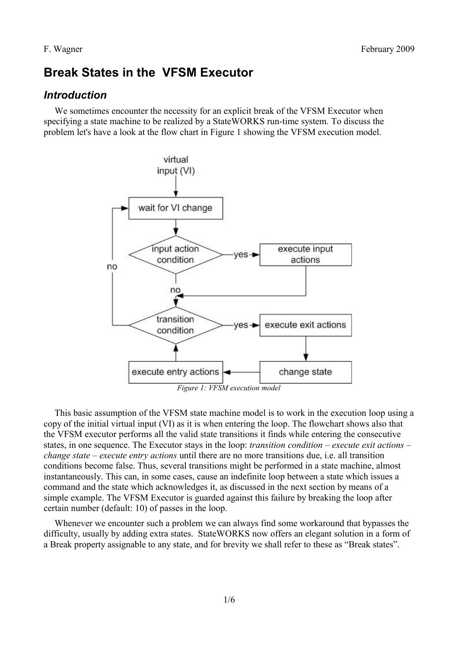# **Break States in the VFSM Executor**

# *Introduction*

We sometimes encounter the necessity for an explicit break of the VFSM Executor when specifying a state machine to be realized by a StateWORKS run-time system. To discuss the problem let's have a look at the flow chart in [Figure 1](#page-0-0) showing the VFSM execution model.



<span id="page-0-0"></span>This basic assumption of the VFSM state machine model is to work in the execution loop using a copy of the initial virtual input (VI) as it is when entering the loop. The flowchart shows also that the VFSM executor performs all the valid state transitions it finds while entering the consecutive states, in one sequence. The Executor stays in the loop: *transition condition – execute exit actions – change state – execute entry actions* until there are no more transitions due, i.e. all transition conditions become false. Thus, several transitions might be performed in a state machine, almost instantaneously. This can, in some cases, cause an indefinite loop between a state which issues a command and the state which acknowledges it, as discussed in the next section by means of a simple example. The VFSM Executor is guarded against this failure by breaking the loop after certain number (default: 10) of passes in the loop.

Whenever we encounter such a problem we can always find some workaround that bypasses the difficulty, usually by adding extra states. StateWORKS now offers an elegant solution in a form of a Break property assignable to any state, and for brevity we shall refer to these as "Break states".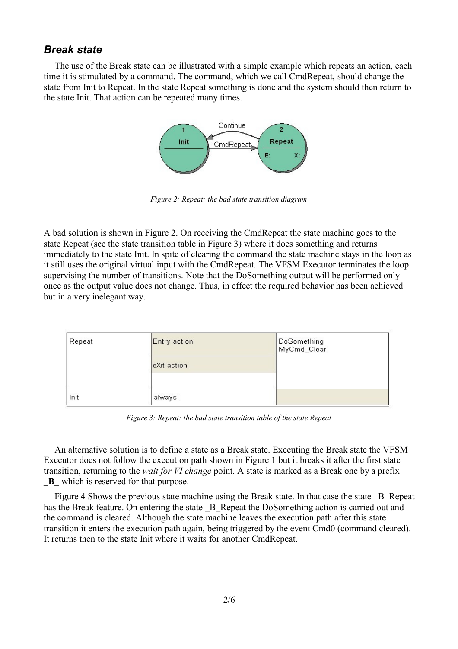### *Break state*

The use of the Break state can be illustrated with a simple example which repeats an action, each time it is stimulated by a command. The command, which we call CmdRepeat, should change the state from Init to Repeat. In the state Repeat something is done and the system should then return to the state Init. That action can be repeated many times.



<span id="page-1-1"></span>*Figure 2: Repeat: the bad state transition diagram*

A bad solution is shown in [Figure 2.](#page-1-1) On receiving the CmdRepeat the state machine goes to the state Repeat (see the state transition table in [Figure 3\)](#page-1-0) where it does something and returns immediately to the state Init. In spite of clearing the command the state machine stays in the loop as it still uses the original virtual input with the CmdRepeat. The VFSM Executor terminates the loop supervising the number of transitions. Note that the DoSomething output will be performed only once as the output value does not change. Thus, in effect the required behavior has been achieved but in a very inelegant way.

| Repeat | Entry action | DoSomething<br>MyCmd_Clear |
|--------|--------------|----------------------------|
|        | eXit action  |                            |
|        |              |                            |
| Init   | always       |                            |

<span id="page-1-0"></span>*Figure 3: Repeat: the bad state transition table of the state Repeat*

An alternative solution is to define a state as a Break state. Executing the Break state the VFSM Executor does not follow the execution path shown in [Figure 1](#page-0-0) but it breaks it after the first state transition, returning to the *wait for VI change* point. A state is marked as a Break one by a prefix **\_B\_** which is reserved for that purpose.

[Figure 4](#page-2-0) Shows the previous state machine using the Break state. In that case the state  $\,$ B Repeat has the Break feature. On entering the state  $\,$  B Repeat the DoSomething action is carried out and the command is cleared. Although the state machine leaves the execution path after this state transition it enters the execution path again, being triggered by the event Cmd0 (command cleared). It returns then to the state Init where it waits for another CmdRepeat.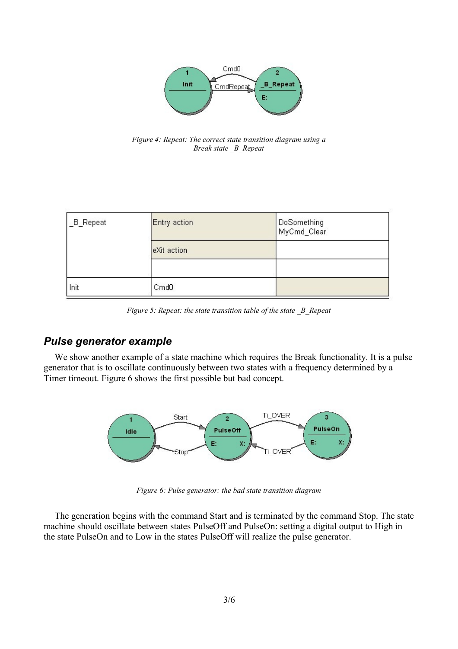

<span id="page-2-0"></span>*Figure 4: Repeat: The correct state transition diagram using a Break state \_B\_Repeat*

| _B_Repeat | Entry action     | DoSomething<br>MyCmd_Clear |
|-----------|------------------|----------------------------|
|           | eXit action      |                            |
|           |                  |                            |
| Init      | Cmd <sub>0</sub> |                            |

*Figure 5: Repeat: the state transition table of the state \_B\_Repeat*

### *Pulse generator example*

We show another example of a state machine which requires the Break functionality. It is a pulse generator that is to oscillate continuously between two states with a frequency determined by a Timer timeout. [Figure 6](#page-2-1) shows the first possible but bad concept.



<span id="page-2-1"></span>*Figure 6: Pulse generator: the bad state transition diagram*

The generation begins with the command Start and is terminated by the command Stop. The state machine should oscillate between states PulseOff and PulseOn: setting a digital output to High in the state PulseOn and to Low in the states PulseOff will realize the pulse generator.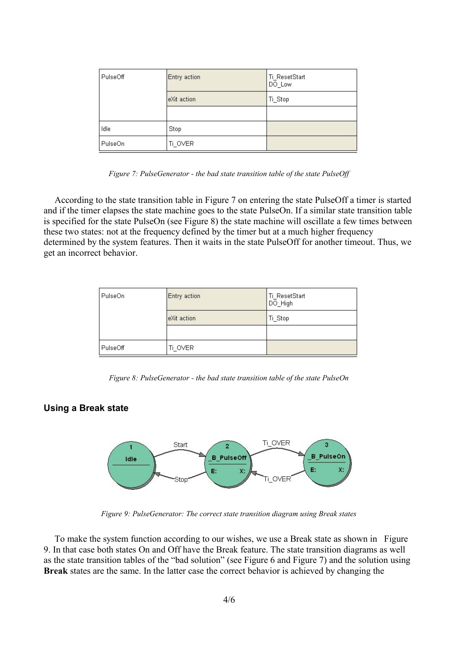| PulseOff | Entry action | Ti_ResetStart<br>DO_Low |
|----------|--------------|-------------------------|
|          | eXit action  | Ti_Stop                 |
|          |              |                         |
| Idle     | Stop         |                         |
| PulseOn  | Ti_OVER      |                         |

<span id="page-3-0"></span>*Figure 7: PulseGenerator - the bad state transition table of the state PulseOff*

According to the state transition table in [Figure 7](#page-3-0) on entering the state PulseOff a timer is started and if the timer elapses the state machine goes to the state PulseOn. If a similar state transition table is specified for the state PulseOn (see [Figure 8\)](#page-3-2) the state machine will oscillate a few times between these two states: not at the frequency defined by the timer but at a much higher frequency determined by the system features. Then it waits in the state PulseOff for another timeout. Thus, we get an incorrect behavior.

| PulseOn  | Entry action | Ti ResetStart<br>DO_High |
|----------|--------------|--------------------------|
|          | eXit action  | Ti_Stop                  |
|          |              |                          |
| PulseOff | Ti OVER      |                          |

<span id="page-3-2"></span>*Figure 8: PulseGenerator - the bad state transition table of the state PulseOn*

#### **Using a Break state**



<span id="page-3-1"></span>*Figure 9: PulseGenerator: The correct state transition diagram using Break states*

To make the system function according to our wishes, we use a Break state as shown in [Figure](#page-3-1) [9.](#page-3-1) In that case both states On and Off have the Break feature. The state transition diagrams as well as the state transition tables of the "bad solution" (see [Figure 6](#page-2-1) and [Figure 7\)](#page-3-0) and the solution using **Break** states are the same. In the latter case the correct behavior is achieved by changing the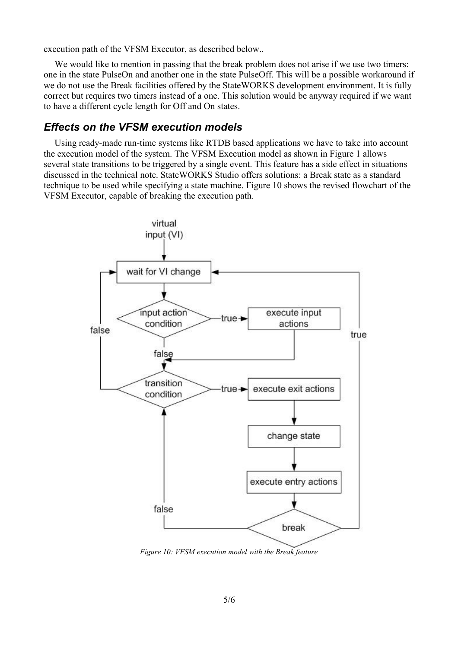execution path of the VFSM Executor, as described below..

We would like to mention in passing that the break problem does not arise if we use two timers: one in the state PulseOn and another one in the state PulseOff. This will be a possible workaround if we do not use the Break facilities offered by the StateWORKS development environment. It is fully correct but requires two timers instead of a one. This solution would be anyway required if we want to have a different cycle length for Off and On states.

### *Effects on the VFSM execution models*

Using ready-made run-time systems like RTDB based applications we have to take into account the execution model of the system. The VFSM Execution model as shown in [Figure 1](#page-0-0) allows several state transitions to be triggered by a single event. This feature has a side effect in situations discussed in the technical note. StateWORKS Studio offers solutions: a Break state as a standard technique to be used while specifying a state machine. [Figure 10](#page-4-0) shows the revised flowchart of the VFSM Executor, capable of breaking the execution path.



<span id="page-4-0"></span>*Figure 10: VFSM execution model with the Break feature*